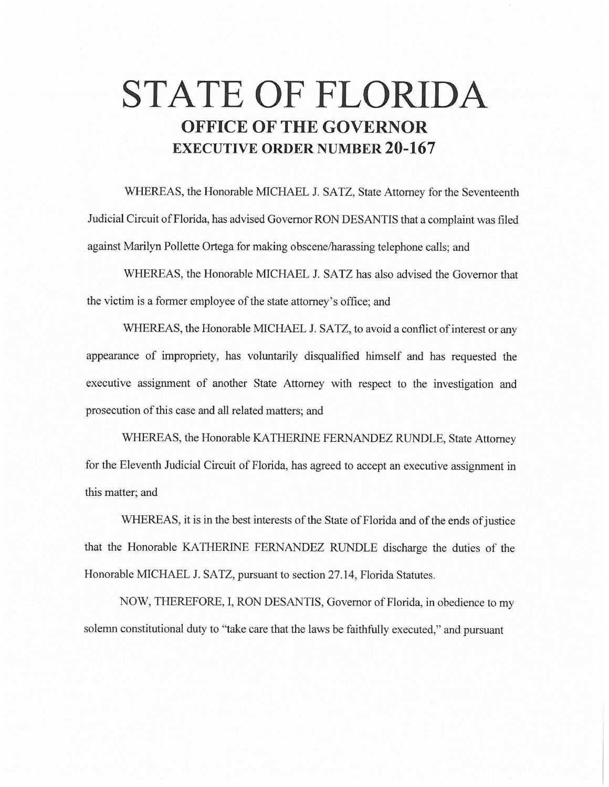# **STATE OF FLORIDA OFFICE OF THE GOVERNOR EXECUTIVE ORDER NUMBER 20-167**

WHEREAS, the Honorable MICHAEL J. SATZ, State Attorney for the Seventeenth Judicial Circuit of Florida, has advised Governor RON DESANTIS that a complaint was filed against Marilyn Pollette Ortega for making obscene/harassing telephone calls; and

WHEREAS, the Honorable MICHAEL J. SATZ has also advised the Governor that the victim is a former employee of the state attorney's office; and

WHEREAS, the Honorable MICHAEL J. SATZ, to avoid a conflict of interest or any appearance of impropriety, has voluntarily disqualified himself and has requested the executive assignment of another State Attorney with respect to the investigation and prosecution of this case and all related matters; and

WHEREAS, the Honorable KATHERINE FERNANDEZ RUNDLE, State Attorney for the Eleventh Judicial Circuit of Florida, has agreed to accept an executive assignment in this matter; and

WHEREAS, it is in the best interests of the State of Florida and of the ends of justice that the Honorable *KA* THERINE FERNANDEZ RUNDLE discharge the duties of the Honorable MICHAEL J. SATZ, pursuant to section 27.14, Florida Statutes.

NOW, THEREFORE, I, RON DESANTIS, Governor of Florida, in obedience to my solemn constitutional duty to "take care that the laws be faithfully executed," and pursuant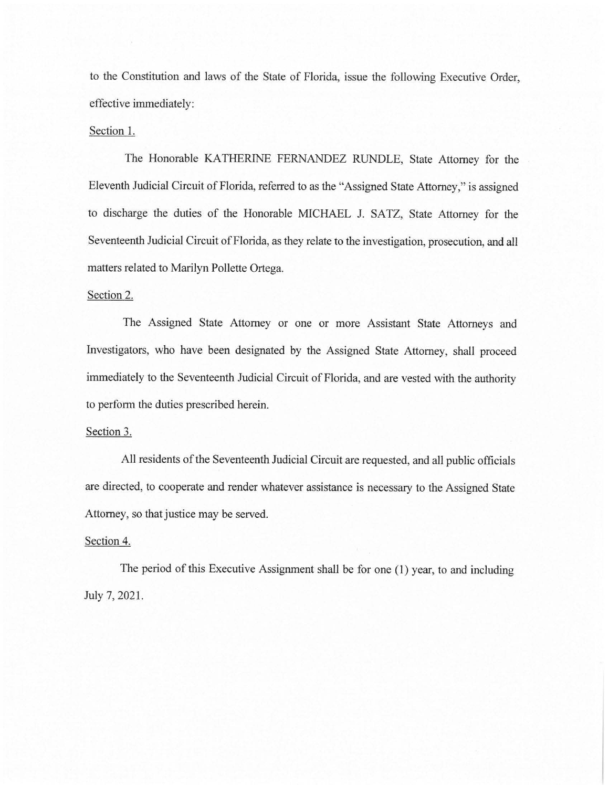to the Constitution and laws of the State of Florida, issue the following Executive Order, effective immediately:

### Section I.

The Honorable KATHERINE FERNANDEZ RUNDLE, State Attorney for the Eleventh Judicial Circuit of Florida, referred to as the "Assigned State Attorney," is assigned to discharge the duties of the Honorable MICHAEL J. SATZ, State Attorney for the Seventeenth Judicial Circuit of Florida, as they relate to the investigation, prosecution, and all matters related to Marilyn Pollette Ortega.

### Section 2.

The Assigned State Attorney or one or more Assistant State Attorneys and Investigators, who have been designated by the Assigned State Attorney, shall proceed immediately to the Seventeenth Judicial Circuit of Florida, and are vested with the authority to perform the duties prescribed herein.

#### Section 3.

All residents of the Seventeenth Judicial Circuit are requested, and all public officials are directed, to cooperate and render whatever assistance is necessary to the Assigned State Attorney, so that justice may be served.

## Section 4.

The period of this Executive Assignment shall be for one (I) year, to and including July 7, 2021.